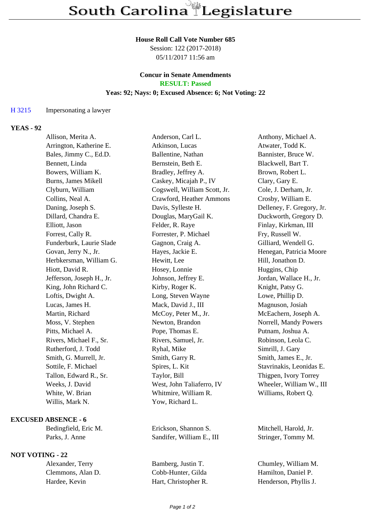## **House Roll Call Vote Number 685**

Session: 122 (2017-2018) 05/11/2017 11:56 am

### **Concur in Senate Amendments RESULT: Passed**

## **Yeas: 92; Nays: 0; Excused Absence: 6; Not Voting: 22**

## H 3215 Impersonating a lawyer

# **YEAS - 92**

| Allison, Merita A.         | Anderson, Carl L.            | Anthony, Michael A.       |
|----------------------------|------------------------------|---------------------------|
| Arrington, Katherine E.    | Atkinson, Lucas              | Atwater, Todd K.          |
| Bales, Jimmy C., Ed.D.     | Ballentine, Nathan           | Bannister, Bruce W.       |
| Bennett, Linda             | Bernstein, Beth E.           | Blackwell, Bart T.        |
| Bowers, William K.         | Bradley, Jeffrey A.          | Brown, Robert L.          |
| <b>Burns, James Mikell</b> | Caskey, Micajah P., IV       | Clary, Gary E.            |
| Clyburn, William           | Cogswell, William Scott, Jr. | Cole, J. Derham, Jr.      |
| Collins, Neal A.           | Crawford, Heather Ammons     | Crosby, William E.        |
| Daning, Joseph S.          | Davis, Sylleste H.           | Delleney, F. Gregory, Jr. |
| Dillard, Chandra E.        | Douglas, MaryGail K.         | Duckworth, Gregory D.     |
| Elliott, Jason             | Felder, R. Raye              | Finlay, Kirkman, III      |
| Forrest, Cally R.          | Forrester, P. Michael        | Fry, Russell W.           |
| Funderburk, Laurie Slade   | Gagnon, Craig A.             | Gilliard, Wendell G.      |
| Govan, Jerry N., Jr.       | Hayes, Jackie E.             | Henegan, Patricia Moore   |
| Herbkersman, William G.    | Hewitt, Lee                  | Hill, Jonathon D.         |
| Hiott, David R.            | Hosey, Lonnie                | Huggins, Chip             |
| Jefferson, Joseph H., Jr.  | Johnson, Jeffrey E.          | Jordan, Wallace H., Jr.   |
| King, John Richard C.      | Kirby, Roger K.              | Knight, Patsy G.          |
| Loftis, Dwight A.          | Long, Steven Wayne           | Lowe, Phillip D.          |
| Lucas, James H.            | Mack, David J., III          | Magnuson, Josiah          |
| Martin, Richard            | McCoy, Peter M., Jr.         | McEachern, Joseph A.      |
| Moss, V. Stephen           | Newton, Brandon              | Norrell, Mandy Powers     |
| Pitts, Michael A.          | Pope, Thomas E.              | Putnam, Joshua A.         |
| Rivers, Michael F., Sr.    | Rivers, Samuel, Jr.          | Robinson, Leola C.        |
| Rutherford, J. Todd        | Ryhal, Mike                  | Simrill, J. Gary          |
| Smith, G. Murrell, Jr.     | Smith, Garry R.              | Smith, James E., Jr.      |
| Sottile, F. Michael        | Spires, L. Kit               | Stavrinakis, Leonidas E.  |
| Tallon, Edward R., Sr.     | Taylor, Bill                 | Thigpen, Ivory Torrey     |
| Weeks, J. David            | West, John Taliaferro, IV    | Wheeler, William W., III  |
| White, W. Brian            | Whitmire, William R.         | Williams, Robert Q.       |
| Willis, Mark N.            | Yow, Richard L.              |                           |
|                            |                              |                           |

#### **EXCUSED ABSENCE - 6**

## **NOT VOTING - 22**

Bedingfield, Eric M. Erickson, Shannon S. Mitchell, Harold, Jr. Parks, J. Anne Sandifer, William E., III Stringer, Tommy M.

Alexander, Terry Bamberg, Justin T. Chumley, William M. Clemmons, Alan D. Cobb-Hunter, Gilda Hamilton, Daniel P. Hardee, Kevin Hart, Christopher R. Henderson, Phyllis J.